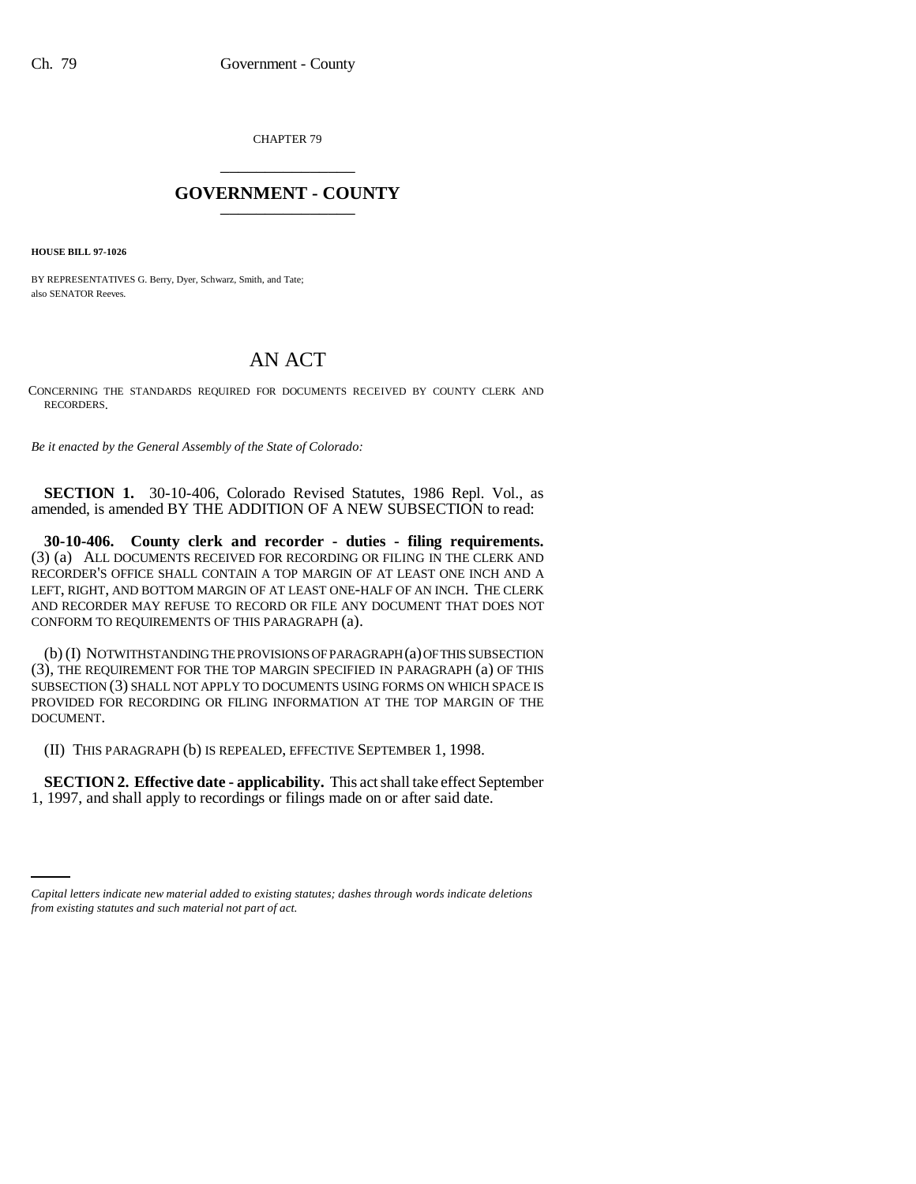CHAPTER 79 \_\_\_\_\_\_\_\_\_\_\_\_\_\_\_

## **GOVERNMENT - COUNTY** \_\_\_\_\_\_\_\_\_\_\_\_\_\_\_

**HOUSE BILL 97-1026**

BY REPRESENTATIVES G. Berry, Dyer, Schwarz, Smith, and Tate; also SENATOR Reeves.

## AN ACT

CONCERNING THE STANDARDS REQUIRED FOR DOCUMENTS RECEIVED BY COUNTY CLERK AND RECORDERS.

*Be it enacted by the General Assembly of the State of Colorado:*

**SECTION 1.** 30-10-406, Colorado Revised Statutes, 1986 Repl. Vol., as amended, is amended BY THE ADDITION OF A NEW SUBSECTION to read:

**30-10-406. County clerk and recorder - duties - filing requirements.** (3) (a) ALL DOCUMENTS RECEIVED FOR RECORDING OR FILING IN THE CLERK AND RECORDER'S OFFICE SHALL CONTAIN A TOP MARGIN OF AT LEAST ONE INCH AND A LEFT, RIGHT, AND BOTTOM MARGIN OF AT LEAST ONE-HALF OF AN INCH. THE CLERK AND RECORDER MAY REFUSE TO RECORD OR FILE ANY DOCUMENT THAT DOES NOT CONFORM TO REQUIREMENTS OF THIS PARAGRAPH (a).

(b) (I) NOTWITHSTANDING THE PROVISIONS OF PARAGRAPH (a) OF THIS SUBSECTION (3), THE REQUIREMENT FOR THE TOP MARGIN SPECIFIED IN PARAGRAPH (a) OF THIS SUBSECTION (3) SHALL NOT APPLY TO DOCUMENTS USING FORMS ON WHICH SPACE IS PROVIDED FOR RECORDING OR FILING INFORMATION AT THE TOP MARGIN OF THE DOCUMENT.

(II) THIS PARAGRAPH (b) IS REPEALED, EFFECTIVE SEPTEMBER 1, 1998.

1, 1997, and shall apply to recordings or filings made on or after said date.**SECTION 2. Effective date - applicability.** This act shall take effect September

*Capital letters indicate new material added to existing statutes; dashes through words indicate deletions from existing statutes and such material not part of act.*